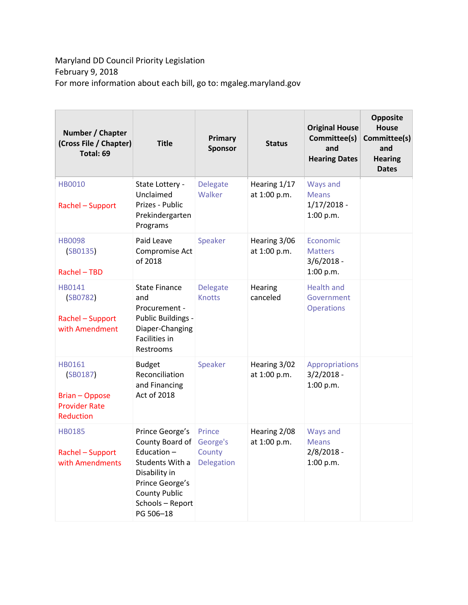## Maryland DD Council Priority Legislation February 9, 2018 For more information about each bill, go to: mgaleg.maryland.gov

| Number / Chapter<br>(Cross File / Chapter)<br>Total: 69                          | <b>Title</b>                                                                                                                                                      | Primary<br><b>Sponsor</b>                  | <b>Status</b>                | <b>Original House</b><br>Committee(s)<br>and<br><b>Hearing Dates</b> | <b>Opposite</b><br><b>House</b><br>Committee(s)<br>and<br><b>Hearing</b><br><b>Dates</b> |
|----------------------------------------------------------------------------------|-------------------------------------------------------------------------------------------------------------------------------------------------------------------|--------------------------------------------|------------------------------|----------------------------------------------------------------------|------------------------------------------------------------------------------------------|
| <b>HB0010</b><br>Rachel - Support                                                | State Lottery -<br>Unclaimed<br>Prizes - Public<br>Prekindergarten<br>Programs                                                                                    | <b>Delegate</b><br>Walker                  | Hearing 1/17<br>at 1:00 p.m. | Ways and<br><b>Means</b><br>$1/17/2018 -$<br>1:00 p.m.               |                                                                                          |
| <b>HB0098</b><br>(SB0135)<br>Rachel - TBD                                        | Paid Leave<br>Compromise Act<br>of 2018                                                                                                                           | Speaker                                    | Hearing 3/06<br>at 1:00 p.m. | Economic<br><b>Matters</b><br>$3/6/2018 -$<br>1:00 p.m.              |                                                                                          |
| HB0141<br>(SB0782)<br>Rachel - Support<br>with Amendment                         | <b>State Finance</b><br>and<br>Procurement -<br>Public Buildings -<br>Diaper-Changing<br>Facilities in<br>Restrooms                                               | <b>Delegate</b><br><b>Knotts</b>           | Hearing<br>canceled          | <b>Health and</b><br>Government<br><b>Operations</b>                 |                                                                                          |
| HB0161<br>(SB0187)<br><b>Brian - Oppose</b><br><b>Provider Rate</b><br>Reduction | <b>Budget</b><br>Reconciliation<br>and Financing<br>Act of 2018                                                                                                   | Speaker                                    | Hearing 3/02<br>at 1:00 p.m. | Appropriations<br>$3/2/2018 -$<br>1:00 p.m.                          |                                                                                          |
| <b>HB0185</b><br>Rachel - Support<br>with Amendments                             | Prince George's<br>County Board of<br>Education -<br>Students With a<br>Disability in<br>Prince George's<br><b>County Public</b><br>Schools - Report<br>PG 506-18 | Prince<br>George's<br>County<br>Delegation | Hearing 2/08<br>at 1:00 p.m. | Ways and<br><b>Means</b><br>2/8/2018 -<br>1:00 p.m.                  |                                                                                          |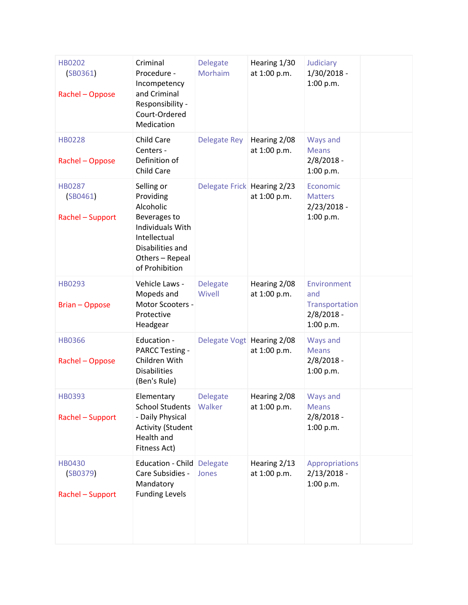| <b>HB0202</b><br>(SB0361)<br>Rachel - Oppose  | Criminal<br>Procedure -<br>Incompetency<br>and Criminal<br>Responsibility -<br>Court-Ordered<br>Medication                                               | <b>Delegate</b><br>Morhaim  | Hearing 1/30<br>at 1:00 p.m. | Judiciary<br>1/30/2018 -<br>1:00 p.m.                             |  |
|-----------------------------------------------|----------------------------------------------------------------------------------------------------------------------------------------------------------|-----------------------------|------------------------------|-------------------------------------------------------------------|--|
| <b>HB0228</b><br>Rachel - Oppose              | Child Care<br>Centers -<br>Definition of<br>Child Care                                                                                                   | Delegate Rey                | Hearing 2/08<br>at 1:00 p.m. | Ways and<br><b>Means</b><br>$2/8/2018 -$<br>1:00 p.m.             |  |
| <b>HB0287</b><br>(SB0461)<br>Rachel - Support | Selling or<br>Providing<br>Alcoholic<br>Beverages to<br><b>Individuals With</b><br>Intellectual<br>Disabilities and<br>Others - Repeal<br>of Prohibition | Delegate Frick Hearing 2/23 | at 1:00 p.m.                 | Economic<br><b>Matters</b><br>$2/23/2018 -$<br>1:00 p.m.          |  |
| <b>HB0293</b><br><b>Brian - Oppose</b>        | Vehicle Laws -<br>Mopeds and<br>Motor Scooters -<br>Protective<br>Headgear                                                                               | <b>Delegate</b><br>Wivell   | Hearing 2/08<br>at 1:00 p.m. | Environment<br>and<br>Transportation<br>$2/8/2018 -$<br>1:00 p.m. |  |
| <b>HB0366</b><br>Rachel - Oppose              | Education -<br><b>PARCC Testing -</b><br>Children With<br><b>Disabilities</b><br>(Ben's Rule)                                                            | Delegate Vogt Hearing 2/08  | at 1:00 p.m.                 | Ways and<br><b>Means</b><br>$2/8/2018 -$<br>1:00 p.m.             |  |
| HB0393<br>Rachel - Support                    | Elementary<br><b>School Students</b><br>- Daily Physical<br><b>Activity (Student</b><br>Health and<br>Fitness Act)                                       | <b>Delegate</b><br>Walker   | Hearing 2/08<br>at 1:00 p.m. | Ways and<br><b>Means</b><br>$2/8/2018 -$<br>1:00 p.m.             |  |
| <b>HB0430</b><br>(SB0379)<br>Rachel - Support | Education - Child Delegate<br>Care Subsidies -<br>Mandatory<br><b>Funding Levels</b>                                                                     | Jones                       | Hearing 2/13<br>at 1:00 p.m. | Appropriations<br>$2/13/2018 -$<br>1:00 p.m.                      |  |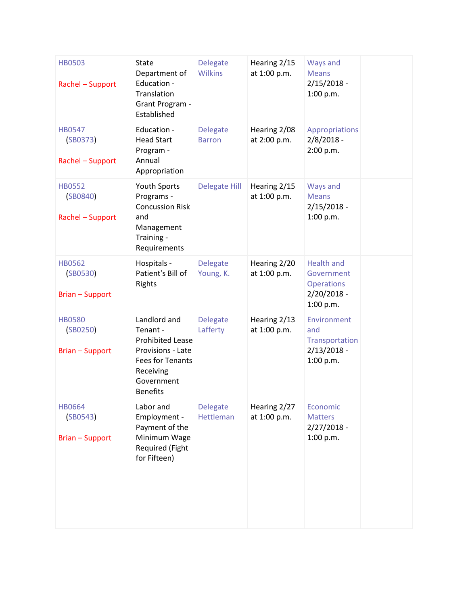| <b>HB0503</b><br>Rachel - Support                   | <b>State</b><br>Department of<br>Education -<br>Translation<br>Grant Program -<br>Established                                                     | <b>Delegate</b><br><b>Wilkins</b>   | Hearing 2/15<br>at 1:00 p.m. | Ways and<br><b>Means</b><br>$2/15/2018 -$<br>1:00 p.m.                             |  |
|-----------------------------------------------------|---------------------------------------------------------------------------------------------------------------------------------------------------|-------------------------------------|------------------------------|------------------------------------------------------------------------------------|--|
| <b>HB0547</b><br>(SB0373)<br>Rachel - Support       | Education -<br><b>Head Start</b><br>Program -<br>Annual<br>Appropriation                                                                          | <b>Delegate</b><br><b>Barron</b>    | Hearing 2/08<br>at 2:00 p.m. | Appropriations<br>$2/8/2018 -$<br>2:00 p.m.                                        |  |
| <b>HB0552</b><br>(SB0840)<br>Rachel - Support       | Youth Sports<br>Programs -<br><b>Concussion Risk</b><br>and<br>Management<br>Training -<br>Requirements                                           | <b>Delegate Hill</b>                | Hearing 2/15<br>at 1:00 p.m. | Ways and<br><b>Means</b><br>$2/15/2018 -$<br>1:00 p.m.                             |  |
| <b>HB0562</b><br>(SB0530)<br><b>Brian - Support</b> | Hospitals -<br>Patient's Bill of<br>Rights                                                                                                        | <b>Delegate</b><br>Young, K.        | Hearing 2/20<br>at 1:00 p.m. | <b>Health and</b><br>Government<br><b>Operations</b><br>$2/20/2018 -$<br>1:00 p.m. |  |
| <b>HB0580</b><br>(SB0250)<br><b>Brian-Support</b>   | Landlord and<br>Tenant -<br><b>Prohibited Lease</b><br>Provisions - Late<br><b>Fees for Tenants</b><br>Receiving<br>Government<br><b>Benefits</b> | <b>Delegate</b><br>Lafferty         | Hearing 2/13<br>at 1:00 p.m. | Environment<br>and<br>Transportation<br>$2/13/2018 -$<br>1:00 p.m.                 |  |
| <b>HB0664</b><br>(SB0543)<br><b>Brian-Support</b>   | Labor and<br>Employment -<br>Payment of the<br>Minimum Wage<br>Required (Fight<br>for Fifteen)                                                    | <b>Delegate</b><br><b>Hettleman</b> | Hearing 2/27<br>at 1:00 p.m. | Economic<br><b>Matters</b><br>$2/27/2018 -$<br>1:00 p.m.                           |  |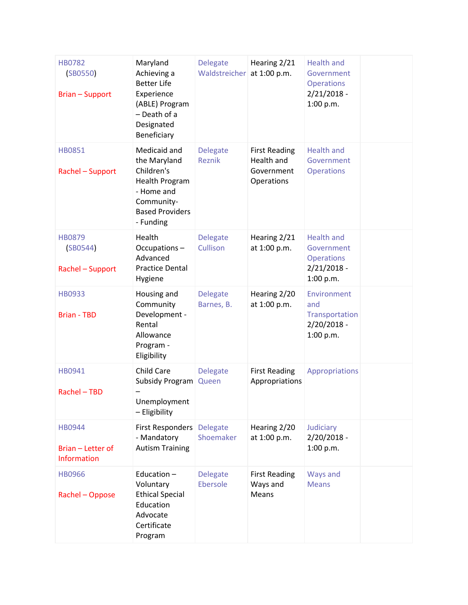| <b>HB0782</b><br>(SB0550)<br><b>Brian-Support</b>        | Maryland<br>Achieving a<br><b>Better Life</b><br>Experience<br>(ABLE) Program<br>- Death of a<br>Designated<br>Beneficiary             | <b>Delegate</b><br>Waldstreicher | Hearing 2/21<br>at 1:00 p.m.                                   | <b>Health and</b><br>Government<br><b>Operations</b><br>$2/21/2018 -$<br>1:00 p.m. |  |
|----------------------------------------------------------|----------------------------------------------------------------------------------------------------------------------------------------|----------------------------------|----------------------------------------------------------------|------------------------------------------------------------------------------------|--|
| <b>HB0851</b><br>Rachel - Support                        | Medicaid and<br>the Maryland<br>Children's<br><b>Health Program</b><br>- Home and<br>Community-<br><b>Based Providers</b><br>- Funding | <b>Delegate</b><br><b>Reznik</b> | <b>First Reading</b><br>Health and<br>Government<br>Operations | <b>Health and</b><br>Government<br><b>Operations</b>                               |  |
| <b>HB0879</b><br>(SB0544)<br>Rachel - Support            | Health<br>Occupations-<br>Advanced<br><b>Practice Dental</b><br>Hygiene                                                                | <b>Delegate</b><br>Cullison      | Hearing 2/21<br>at 1:00 p.m.                                   | <b>Health and</b><br>Government<br><b>Operations</b><br>$2/21/2018 -$<br>1:00 p.m. |  |
| HB0933<br><b>Brian - TBD</b>                             | Housing and<br>Community<br>Development -<br>Rental<br>Allowance<br>Program -<br>Eligibility                                           | <b>Delegate</b><br>Barnes, B.    | Hearing 2/20<br>at 1:00 p.m.                                   | Environment<br>and<br>Transportation<br>$2/20/2018 -$<br>1:00 p.m.                 |  |
| HB0941<br>Rachel - TBD                                   | Child Care<br>Subsidy Program<br>Unemployment<br>- Eligibility                                                                         | <b>Delegate</b><br>Queen         | <b>First Reading</b><br>Appropriations                         | Appropriations                                                                     |  |
| <b>HB0944</b><br>Brian - Letter of<br><b>Information</b> | First Responders<br>- Mandatory<br><b>Autism Training</b>                                                                              | <b>Delegate</b><br>Shoemaker     | Hearing 2/20<br>at 1:00 p.m.                                   | Judiciary<br>2/20/2018 -<br>1:00 p.m.                                              |  |
| <b>HB0966</b><br>Rachel - Oppose                         | Education-<br>Voluntary<br><b>Ethical Special</b><br>Education<br>Advocate<br>Certificate<br>Program                                   | <b>Delegate</b><br>Ebersole      | <b>First Reading</b><br>Ways and<br>Means                      | Ways and<br><b>Means</b>                                                           |  |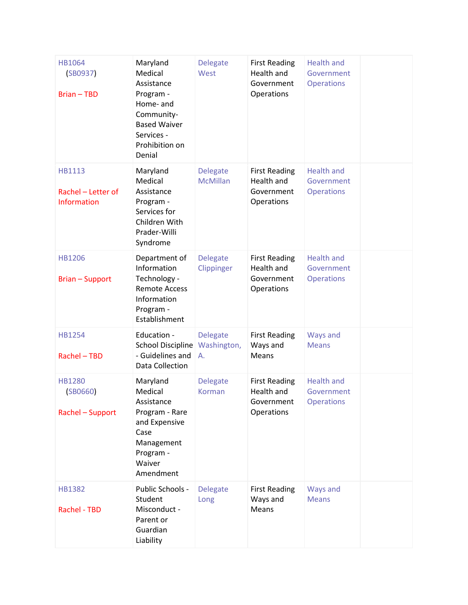| HB1064<br>(SB0937)<br><b>Brian-TBD</b>                    | Maryland<br>Medical<br>Assistance<br>Program -<br>Home- and<br>Community-<br><b>Based Waiver</b><br>Services -<br>Prohibition on<br>Denial | <b>Delegate</b><br>West              | <b>First Reading</b><br>Health and<br>Government<br>Operations | <b>Health and</b><br>Government<br><b>Operations</b> |  |
|-----------------------------------------------------------|--------------------------------------------------------------------------------------------------------------------------------------------|--------------------------------------|----------------------------------------------------------------|------------------------------------------------------|--|
| <b>HB1113</b><br>Rachel - Letter of<br><b>Information</b> | Maryland<br>Medical<br>Assistance<br>Program -<br>Services for<br>Children With<br>Prader-Willi<br>Syndrome                                | <b>Delegate</b><br><b>McMillan</b>   | <b>First Reading</b><br>Health and<br>Government<br>Operations | <b>Health and</b><br>Government<br><b>Operations</b> |  |
| <b>HB1206</b><br><b>Brian - Support</b>                   | Department of<br>Information<br>Technology -<br><b>Remote Access</b><br>Information<br>Program -<br>Establishment                          | <b>Delegate</b><br>Clippinger        | <b>First Reading</b><br>Health and<br>Government<br>Operations | <b>Health and</b><br>Government<br><b>Operations</b> |  |
| <b>HB1254</b><br>Rachel - TBD                             | Education -<br><b>School Discipline</b><br>- Guidelines and<br>Data Collection                                                             | <b>Delegate</b><br>Washington,<br>Α. | <b>First Reading</b><br>Ways and<br>Means                      | Ways and<br><b>Means</b>                             |  |
| <b>HB1280</b><br>(SB0660)<br>Rachel - Support             | Maryland<br>Medical<br>Assistance<br>Program - Rare<br>and Expensive<br>Case<br>Management<br>Program -<br>Waiver<br>Amendment             | <b>Delegate</b><br>Korman            | <b>First Reading</b><br>Health and<br>Government<br>Operations | <b>Health and</b><br>Government<br><b>Operations</b> |  |
| <b>HB1382</b><br>Rachel - TBD                             | Public Schools -<br>Student<br>Misconduct -<br>Parent or<br>Guardian<br>Liability                                                          | <b>Delegate</b><br>Long              | <b>First Reading</b><br>Ways and<br>Means                      | Ways and<br><b>Means</b>                             |  |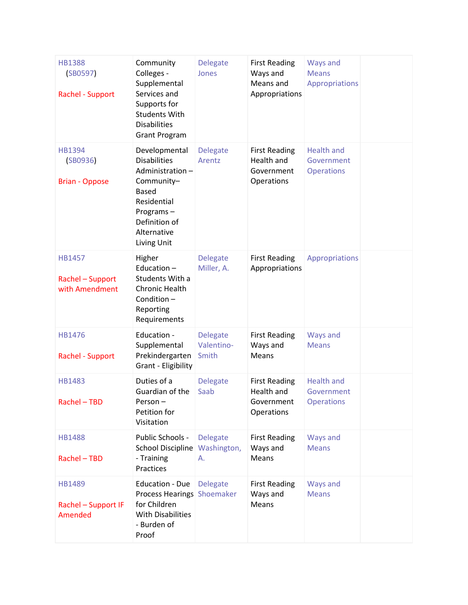| <b>HB1388</b><br>(SB0597)<br>Rachel - Support       | Community<br>Colleges -<br>Supplemental<br>Services and<br>Supports for<br><b>Students With</b><br><b>Disabilities</b><br><b>Grant Program</b>                   | <b>Delegate</b><br>Jones               | <b>First Reading</b><br>Ways and<br>Means and<br>Appropriations | <b>Ways and</b><br><b>Means</b><br>Appropriations    |  |
|-----------------------------------------------------|------------------------------------------------------------------------------------------------------------------------------------------------------------------|----------------------------------------|-----------------------------------------------------------------|------------------------------------------------------|--|
| HB1394<br>(SB0936)<br><b>Brian - Oppose</b>         | Developmental<br><b>Disabilities</b><br>Administration-<br>Community-<br><b>Based</b><br>Residential<br>Programs-<br>Definition of<br>Alternative<br>Living Unit | <b>Delegate</b><br>Arentz              | <b>First Reading</b><br>Health and<br>Government<br>Operations  | <b>Health and</b><br>Government<br><b>Operations</b> |  |
| <b>HB1457</b><br>Rachel - Support<br>with Amendment | Higher<br>Education-<br>Students With a<br><b>Chronic Health</b><br>Condition-<br>Reporting<br>Requirements                                                      | <b>Delegate</b><br>Miller, A.          | <b>First Reading</b><br>Appropriations                          | <b>Appropriations</b>                                |  |
| HB1476<br>Rachel - Support                          | Education -<br>Supplemental<br>Prekindergarten<br>Grant - Eligibility                                                                                            | <b>Delegate</b><br>Valentino-<br>Smith | <b>First Reading</b><br>Ways and<br>Means                       | <b>Ways and</b><br><b>Means</b>                      |  |
| HB1483<br>Rachel - TBD                              | Duties of a<br>Guardian of the<br>Person-<br>Petition for<br>Visitation                                                                                          | <b>Delegate</b><br>Saab                | <b>First Reading</b><br>Health and<br>Government<br>Operations  | <b>Health and</b><br>Government<br><b>Operations</b> |  |
| HB1488<br>Rachel - TBD                              | Public Schools -<br>School Discipline<br>- Training<br>Practices                                                                                                 | <b>Delegate</b><br>Washington,<br>А.   | <b>First Reading</b><br>Ways and<br>Means                       | Ways and<br><b>Means</b>                             |  |
| HB1489<br>Rachel - Support IF<br>Amended            | <b>Education - Due</b><br>Process Hearings Shoemaker<br>for Children<br><b>With Disabilities</b><br>- Burden of<br>Proof                                         | <b>Delegate</b>                        | <b>First Reading</b><br>Ways and<br>Means                       | Ways and<br><b>Means</b>                             |  |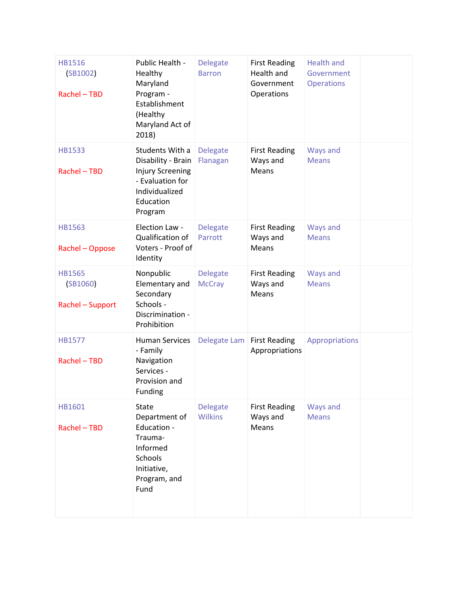| <b>HB1516</b><br>(SB1002)<br>Rachel - TBD     | Public Health -<br>Healthy<br>Maryland<br>Program -<br>Establishment<br>(Healthy<br>Maryland Act of<br>2018)                   | <b>Delegate</b><br><b>Barron</b>  | <b>First Reading</b><br>Health and<br>Government<br>Operations | <b>Health and</b><br>Government<br><b>Operations</b> |  |
|-----------------------------------------------|--------------------------------------------------------------------------------------------------------------------------------|-----------------------------------|----------------------------------------------------------------|------------------------------------------------------|--|
| <b>HB1533</b><br>Rachel - TBD                 | Students With a<br>Disability - Brain<br><b>Injury Screening</b><br>- Evaluation for<br>Individualized<br>Education<br>Program | <b>Delegate</b><br>Flanagan       | <b>First Reading</b><br>Ways and<br>Means                      | Ways and<br><b>Means</b>                             |  |
| <b>HB1563</b><br>Rachel - Oppose              | Election Law -<br>Qualification of<br>Voters - Proof of<br>Identity                                                            | <b>Delegate</b><br>Parrott        | <b>First Reading</b><br>Ways and<br>Means                      | <b>Ways and</b><br><b>Means</b>                      |  |
| <b>HB1565</b><br>(SB1060)<br>Rachel - Support | Nonpublic<br>Elementary and<br>Secondary<br>Schools -<br>Discrimination -<br>Prohibition                                       | <b>Delegate</b><br><b>McCray</b>  | <b>First Reading</b><br>Ways and<br>Means                      | <b>Ways and</b><br><b>Means</b>                      |  |
| <b>HB1577</b><br>Rachel - TBD                 | <b>Human Services</b><br>- Family<br>Navigation<br>Services -<br>Provision and<br>Funding                                      | Delegate Lam                      | <b>First Reading</b><br>Appropriations                         | Appropriations                                       |  |
| HB1601<br>Rachel - TBD                        | <b>State</b><br>Department of<br>Education -<br>Trauma-<br>Informed<br>Schools<br>Initiative,<br>Program, and<br>Fund          | <b>Delegate</b><br><b>Wilkins</b> | <b>First Reading</b><br>Ways and<br>Means                      | Ways and<br><b>Means</b>                             |  |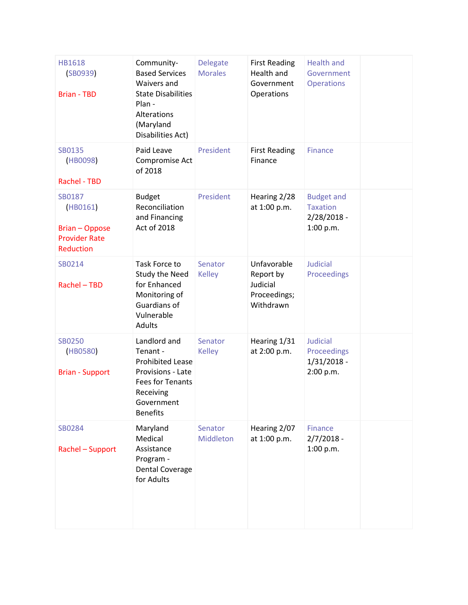| <b>HB1618</b><br>(SB0939)<br><b>Brian - TBD</b>                                         | Community-<br><b>Based Services</b><br>Waivers and<br><b>State Disabilities</b><br>Plan -<br>Alterations<br>(Maryland<br>Disabilities Act)        | <b>Delegate</b><br><b>Morales</b> | <b>First Reading</b><br>Health and<br>Government<br>Operations    | <b>Health and</b><br>Government<br><b>Operations</b>               |  |
|-----------------------------------------------------------------------------------------|---------------------------------------------------------------------------------------------------------------------------------------------------|-----------------------------------|-------------------------------------------------------------------|--------------------------------------------------------------------|--|
| SB0135<br>(HB0098)<br>Rachel - TBD                                                      | Paid Leave<br>Compromise Act<br>of 2018                                                                                                           | President                         | <b>First Reading</b><br>Finance                                   | <b>Finance</b>                                                     |  |
| SB0187<br>(HB0161)<br><b>Brian - Oppose</b><br><b>Provider Rate</b><br><b>Reduction</b> | <b>Budget</b><br>Reconciliation<br>and Financing<br>Act of 2018                                                                                   | President                         | Hearing 2/28<br>at 1:00 p.m.                                      | <b>Budget and</b><br><b>Taxation</b><br>$2/28/2018 -$<br>1:00 p.m. |  |
| SB0214<br>Rachel - TBD                                                                  | Task Force to<br><b>Study the Need</b><br>for Enhanced<br>Monitoring of<br><b>Guardians of</b><br>Vulnerable<br>Adults                            | Senator<br><b>Kelley</b>          | Unfavorable<br>Report by<br>Judicial<br>Proceedings;<br>Withdrawn | <b>Judicial</b><br>Proceedings                                     |  |
| <b>SB0250</b><br>(HB0580)<br><b>Brian - Support</b>                                     | Landlord and<br>Tenant -<br><b>Prohibited Lease</b><br>Provisions - Late<br><b>Fees for Tenants</b><br>Receiving<br>Government<br><b>Benefits</b> | Senator<br><b>Kelley</b>          | Hearing 1/31<br>at 2:00 p.m.                                      | <b>Judicial</b><br>Proceedings<br>$1/31/2018 -$<br>2:00 p.m.       |  |
| SB0284<br>Rachel - Support                                                              | Maryland<br>Medical<br>Assistance<br>Program -<br><b>Dental Coverage</b><br>for Adults                                                            | Senator<br>Middleton              | Hearing 2/07<br>at 1:00 p.m.                                      | <b>Finance</b><br>$2/7/2018 -$<br>1:00 p.m.                        |  |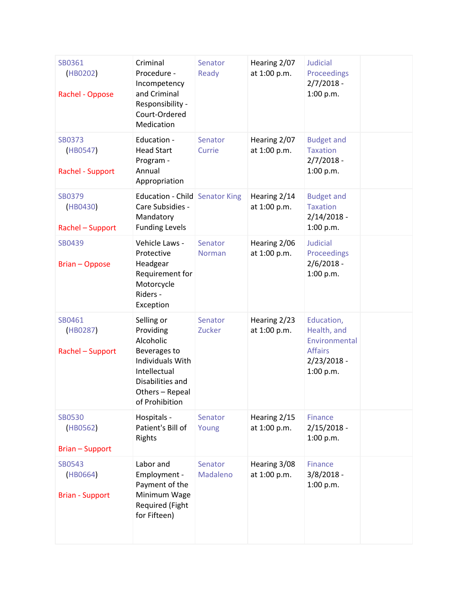| SB0361<br>(HB0202)<br>Rachel - Oppose         | Criminal<br>Procedure -<br>Incompetency<br>and Criminal<br>Responsibility -<br>Court-Ordered<br>Medication                                               | Senator<br>Ready         | Hearing 2/07<br>at 1:00 p.m. | <b>Judicial</b><br>Proceedings<br>$2/7/2018 -$<br>1:00 p.m.                                |  |
|-----------------------------------------------|----------------------------------------------------------------------------------------------------------------------------------------------------------|--------------------------|------------------------------|--------------------------------------------------------------------------------------------|--|
| <b>SB0373</b><br>(HB0547)<br>Rachel - Support | Education -<br><b>Head Start</b><br>Program -<br>Annual<br>Appropriation                                                                                 | Senator<br>Currie        | Hearing 2/07<br>at 1:00 p.m. | <b>Budget and</b><br><b>Taxation</b><br>$2/7/2018 -$<br>1:00 p.m.                          |  |
| <b>SB0379</b><br>(HB0430)<br>Rachel - Support | Education - Child Senator King<br>Care Subsidies -<br>Mandatory<br><b>Funding Levels</b>                                                                 |                          | Hearing 2/14<br>at 1:00 p.m. | <b>Budget and</b><br><b>Taxation</b><br>$2/14/2018 -$<br>1:00 p.m.                         |  |
| SB0439<br><b>Brian - Oppose</b>               | Vehicle Laws -<br>Protective<br>Headgear<br>Requirement for<br>Motorcycle<br>Riders -<br>Exception                                                       | Senator<br><b>Norman</b> | Hearing 2/06<br>at 1:00 p.m. | <b>Judicial</b><br>Proceedings<br>$2/6/2018 -$<br>1:00 p.m.                                |  |
| SB0461<br>(HB0287)<br>Rachel - Support        | Selling or<br>Providing<br>Alcoholic<br>Beverages to<br><b>Individuals With</b><br>Intellectual<br>Disabilities and<br>Others - Repeal<br>of Prohibition | Senator<br>Zucker        | Hearing 2/23<br>at 1:00 p.m. | Education,<br>Health, and<br>Environmental<br><b>Affairs</b><br>$2/23/2018 -$<br>1:00 p.m. |  |
| <b>SB0530</b><br>(HB0562)<br>Brian - Support  | Hospitals -<br>Patient's Bill of<br>Rights                                                                                                               | Senator<br>Young         | Hearing 2/15<br>at 1:00 p.m. | <b>Finance</b><br>$2/15/2018 -$<br>1:00 p.m.                                               |  |
| SB0543<br>(HB0664)<br><b>Brian - Support</b>  | Labor and<br>Employment -<br>Payment of the<br>Minimum Wage<br><b>Required (Fight</b><br>for Fifteen)                                                    | Senator<br>Madaleno      | Hearing 3/08<br>at 1:00 p.m. | Finance<br>$3/8/2018 -$<br>1:00 p.m.                                                       |  |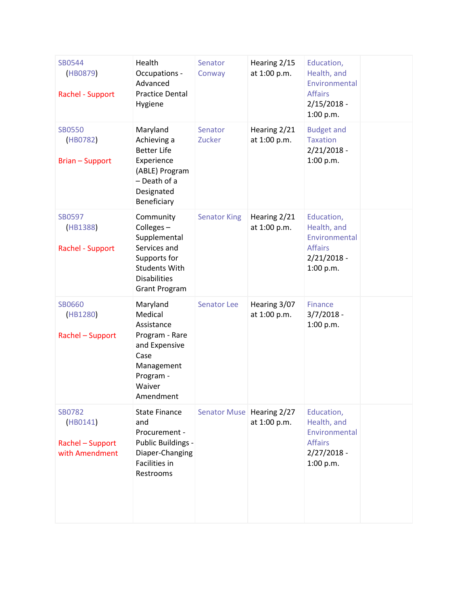| SB0544<br>(HB0879)<br>Rachel - Support                          | Health<br>Occupations -<br>Advanced<br><b>Practice Dental</b><br>Hygiene                                                                      | Senator<br>Conway           | Hearing 2/15<br>at 1:00 p.m. | Education,<br>Health, and<br>Environmental<br><b>Affairs</b><br>$2/15/2018 -$<br>1:00 p.m. |  |
|-----------------------------------------------------------------|-----------------------------------------------------------------------------------------------------------------------------------------------|-----------------------------|------------------------------|--------------------------------------------------------------------------------------------|--|
| <b>SB0550</b><br>(HB0782)<br><b>Brian - Support</b>             | Maryland<br>Achieving a<br><b>Better Life</b><br>Experience<br>(ABLE) Program<br>- Death of a<br>Designated<br>Beneficiary                    | Senator<br>Zucker           | Hearing 2/21<br>at 1:00 p.m. | <b>Budget and</b><br><b>Taxation</b><br>$2/21/2018 -$<br>1:00 p.m.                         |  |
| SB0597<br>(HB1388)<br>Rachel - Support                          | Community<br>Colleges-<br>Supplemental<br>Services and<br>Supports for<br><b>Students With</b><br><b>Disabilities</b><br><b>Grant Program</b> | <b>Senator King</b>         | Hearing 2/21<br>at 1:00 p.m. | Education,<br>Health, and<br>Environmental<br><b>Affairs</b><br>$2/21/2018 -$<br>1:00 p.m. |  |
| <b>SB0660</b><br>(HB1280)<br>Rachel - Support                   | Maryland<br>Medical<br>Assistance<br>Program - Rare<br>and Expensive<br>Case<br>Management<br>Program -<br>Waiver<br>Amendment                | <b>Senator Lee</b>          | Hearing 3/07<br>at 1:00 p.m. | Finance<br>$3/7/2018 -$<br>1:00 p.m.                                                       |  |
| <b>SB0782</b><br>(HB0141)<br>Rachel - Support<br>with Amendment | <b>State Finance</b><br>and<br>Procurement -<br>Public Buildings -<br>Diaper-Changing<br>Facilities in<br>Restrooms                           | Senator Muse   Hearing 2/27 | at 1:00 p.m.                 | Education,<br>Health, and<br>Environmental<br><b>Affairs</b><br>$2/27/2018 -$<br>1:00 p.m. |  |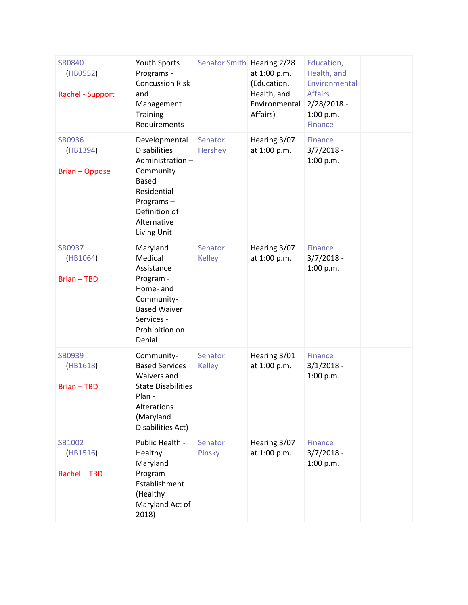| SB0840<br>(HB0552)<br>Rachel - Support | Youth Sports<br>Programs -<br><b>Concussion Risk</b><br>and<br>Management<br>Training -<br>Requirements                                                          | Senator Smith Hearing 2/28 | at 1:00 p.m.<br>(Education,<br>Health, and<br>Environmental<br>Affairs) | Education,<br>Health, and<br>Environmental<br><b>Affairs</b><br>$2/28/2018 -$<br>1:00 p.m.<br><b>Finance</b> |  |
|----------------------------------------|------------------------------------------------------------------------------------------------------------------------------------------------------------------|----------------------------|-------------------------------------------------------------------------|--------------------------------------------------------------------------------------------------------------|--|
| SB0936<br>(HB1394)<br>Brian - Oppose   | Developmental<br><b>Disabilities</b><br>Administration-<br>Community-<br><b>Based</b><br>Residential<br>Programs-<br>Definition of<br>Alternative<br>Living Unit | Senator<br>Hershey         | Hearing 3/07<br>at 1:00 p.m.                                            | Finance<br>$3/7/2018 -$<br>1:00 p.m.                                                                         |  |
| SB0937<br>(HB1064)<br><b>Brian-TBD</b> | Maryland<br>Medical<br>Assistance<br>Program -<br>Home- and<br>Community-<br><b>Based Waiver</b><br>Services -<br>Prohibition on<br>Denial                       | Senator<br><b>Kelley</b>   | Hearing 3/07<br>at 1:00 p.m.                                            | Finance<br>$3/7/2018 -$<br>1:00 p.m.                                                                         |  |
| SB0939<br>(HB1618)<br><b>Brian-TBD</b> | Community-<br><b>Based Services</b><br><b>Waivers and</b><br><b>State Disabilities</b><br>Plan -<br>Alterations<br>(Maryland<br>Disabilities Act)                | Senator<br><b>Kelley</b>   | Hearing 3/01<br>at 1:00 p.m.                                            | <b>Finance</b><br>$3/1/2018 -$<br>1:00 p.m.                                                                  |  |
| SB1002<br>(HB1516)<br>Rachel - TBD     | Public Health -<br>Healthy<br>Maryland<br>Program -<br>Establishment<br>(Healthy<br>Maryland Act of<br>2018)                                                     | Senator<br>Pinsky          | Hearing 3/07<br>at 1:00 p.m.                                            | Finance<br>$3/7/2018 -$<br>1:00 p.m.                                                                         |  |